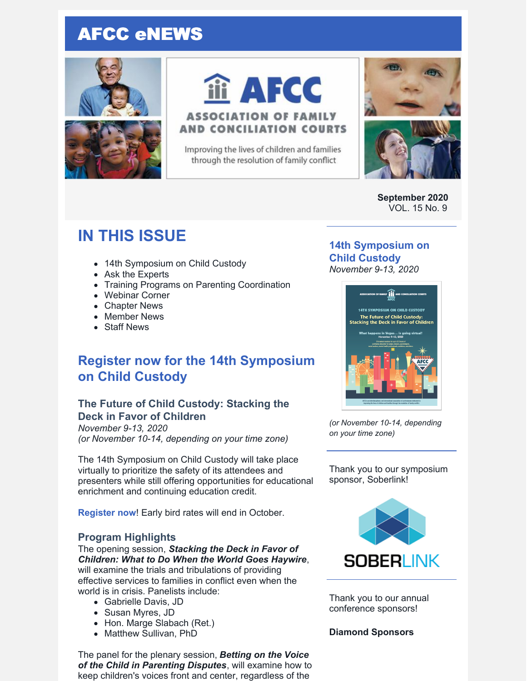## AFCC eNEWS





# iii AFCC

## **ASSOCIATION OF FAMILY AND CONCILIATION COURTS**

Improving the lives of children and families through the resolution of family conflict



**September 2020** VOL. 15 No. 9

## **IN THIS ISSUE**

- 14th Symposium on Child Custody
- Ask the Experts
- Training Programs on Parenting Coordination
- Webinar Corner
- Chapter News
- Member News
- Staff News

## **Register now for the 14th Symposium on Child Custody**

## **The Future of Child Custody: Stacking the Deck in Favor of Children**

*November 9-13, 2020 (or November 10-14, depending on your time zone)*

The 14th Symposium on Child Custody will take place virtually to prioritize the safety of its attendees and presenters while still offering opportunities for educational enrichment and continuing education credit.

**[Register](https://www.afccnet.org/Conferences-Training/AFCC-Conferences/ctl/ViewConference/ConferenceID/284/mid/615) now**! Early bird rates will end in October.

#### **Program Highlights**

The opening session, *Stacking the Deck in Favor of Children: What to Do When the World Goes Haywire*, will examine the trials and tribulations of providing effective services to families in conflict even when the world is in crisis. Panelists include:

- Gabrielle Davis, JD
- Susan Myres, JD
- Hon. Marge Slabach (Ret.)
- Matthew Sullivan, PhD

The panel for the plenary session, *Betting on the Voice of the Child in Parenting Disputes*, will examine how to keep children's voices front and center, regardless of the

#### **14th [Symposium](https://www.afccnet.org/Conferences-Training/AFCC-Conferences/ctl/ViewConference/ConferenceID/284/mid/615) on Child Custody** *November 9-13, 2020*



*(or November 10-14, depending on your time zone)*

Thank you to our symposium sponsor, Soberlink!



Thank you to our annual conference sponsors!

#### **Diamond Sponsors**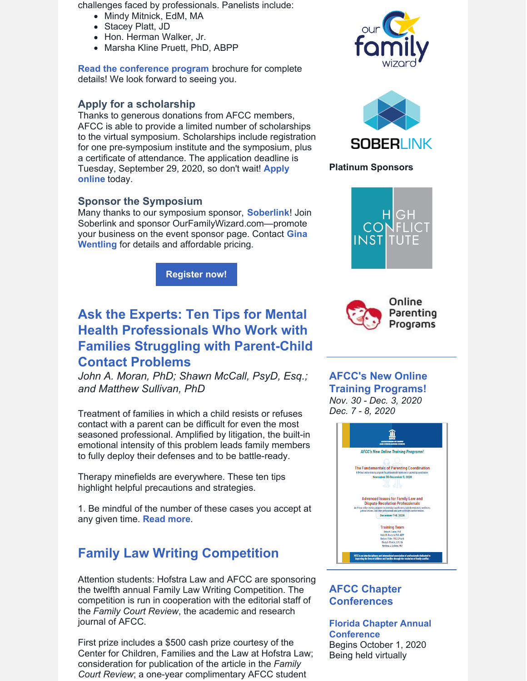challenges faced by professionals. Panelists include:

- Mindy Mitnick, EdM, MA
- Stacey Platt, JD
- Hon. Herman Walker, Jr.
- Marsha Kline Pruett, PhD, ABPP

**Read the [conference](https://www.afccnet.org/Portals/0/Conferences/Las Vegas Brochure Online Version.pdf) program** brochure for complete details! We look forward to seeing you.

#### **Apply for a scholarship**

Thanks to generous donations from AFCC members, AFCC is able to provide a limited number of scholarships to the virtual symposium. Scholarships include registration for one pre-symposium institute and the symposium, plus a certificate of attendance. The application deadline is Tuesday, [September](https://www.surveymonkey.com/r/14thSymposiumScholarship) 29, 2020, so don't wait! **Apply online** today.

#### **Sponsor the Symposium**

Many thanks to our symposium sponsor, **[Soberlink](https://www.soberlink.com/)**! Join Soberlink and sponsor OurFamilyWizard.com—promote your business on the event sponsor page. Contact **Gina Wentling** for details and [affordable](mailto:gwentling@afccnet.org) pricing.

**[Register](https://www.afccnet.org/Conferences-Training/AFCC-Conferences/ctl/ViewConference/ConferenceID/284/mid/615) now!**

## **Ask the Experts: Ten Tips for Mental Health Professionals Who Work with Families Struggling with Parent-Child Contact Problems**

*John A. Moran, PhD; Shawn McCall, PsyD, Esq.; and Matthew Sullivan, PhD*

Treatment of families in which a child resists or refuses contact with a parent can be difficult for even the most seasoned professional. Amplified by litigation, the built-in emotional intensity of this problem leads family members to fully deploy their defenses and to be battle-ready.

Therapy minefields are everywhere. These ten tips highlight helpful precautions and strategies.

1. Be mindful of the number of these cases you accept at any given time. **[Read](https://files.constantcontact.com/6beb60a3701/f55be0b5-dc65-441e-9f5d-0ea6ce68330e.pdf) more**.

## **Family Law Writing Competition**

Attention students: Hofstra Law and AFCC are sponsoring the twelfth annual Family Law Writing Competition. The competition is run in cooperation with the editorial staff of the *Family Court Review*, the academic and research journal of AFCC.

First prize includes a \$500 cash prize courtesy of the Center for Children, Families and the Law at Hofstra Law; consideration for publication of the article in the *Family Court Review*; a one-year complimentary AFCC student





#### **Platinum Sponsors**





## **AFCC's New Online Training Programs!**

*Nov. 30 - Dec. 3, 2020 Dec. 7 - 8, 2020*



### **AFCC Chapter Conferences**

**Florida Chapter Annual [Conference](https://flafcc.org/event/2020-flafcc-annual-conference/)** Begins October 1, 2020 Being held virtually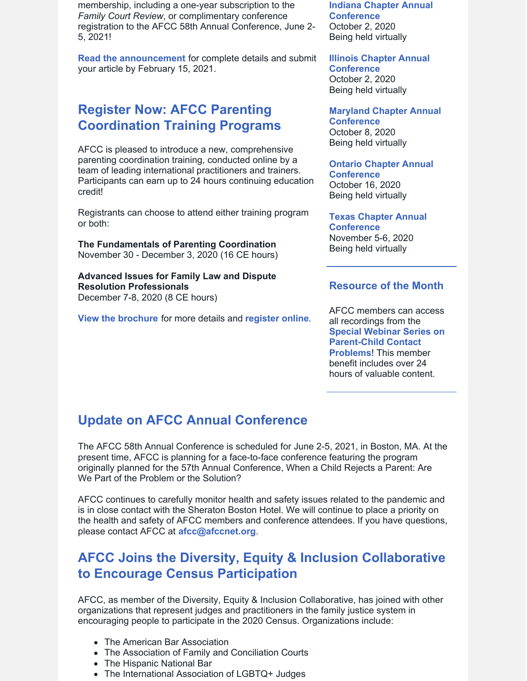membership, including a one-year subscription to the *Family Court Review*, or complimentary conference registration to the AFCC 58th Annual Conference, June 2- 5, 2021!

**Read the [announcement](https://files.constantcontact.com/6beb60a3701/62cf6c4f-9215-4a45-856b-b4cf5f1dafb1.pdf)** for complete details and submit your article by February 15, 2021.

## **Register Now: AFCC Parenting Coordination Training Programs**

AFCC is pleased to introduce a new, comprehensive parenting coordination training, conducted online by a team of leading international practitioners and trainers. Participants can earn up to 24 hours continuing education credit!

Registrants can choose to attend either training program or both:

**The Fundamentals of Parenting Coordination** November 30 - December 3, 2020 (16 CE hours)

**Advanced Issues for Family Law and Dispute Resolution Professionals** December 7-8, 2020 (8 CE hours)

**View the [brochure](https://www.afccnet.org/Portals/0/AFCC Training 2020-12 - Final.pdf)** for more details and **[register](https://www.afccnet.org/Conferences-Training/AFCC-Training) online**.

**Indiana Chapter Annual [Conference](https://indianaafcc.org/)** October 2, 2020 Being held virtually

**Illinois Chapter Annual [Conference](http://www.afccillinois.org/event-3645345)** October 2, 2020 Being held virtually

**Maryland Chapter Annual [Conference](https://www.afccnet.org/Chapters/Chapter-Events/ctl/ViewConference/ConferenceID/396/mid/632)** October 8, 2020 Being held virtually

**Ontario Chapter Annual [Conference](https://afccontario.ca/afcc-o-annual-conference-2020/)** October 16, 2020 Being held virtually

**Texas Chapter Annual [Conference](https://www.afccnet.org/Chapters/Chapter-Events)** November 5-6, 2020 Being held virtually

#### **Resource of the Month**

AFCC members can access all recordings from the **Special Webinar Series on [Parent-Child](https://www.afccnet.org/Conferences-Training/AFCC-Webinars/Recordings-of-AFCC-Webinar-Series-on-Parent-Child-Contact-Problems) Contact Problems**! This member benefit includes over 24 hours of valuable content.

## **Update on AFCC Annual Conference**

The AFCC 58th Annual Conference is scheduled for June 2-5, 2021, in Boston, MA. At the present time, AFCC is planning for a face-to-face conference featuring the program originally planned for the 57th Annual Conference, When a Child Rejects a Parent: Are We Part of the Problem or the Solution?

AFCC continues to carefully monitor health and safety issues related to the pandemic and is in close contact with the Sheraton Boston Hotel. We will continue to place a priority on the health and safety of AFCC members and conference attendees. If you have questions, please contact AFCC at **[afcc@afccnet.org](mailto:afcc@afccnet.org)**.

## **AFCC Joins the Diversity, Equity & Inclusion Collaborative to Encourage Census Participation**

AFCC, as member of the Diversity, Equity & Inclusion Collaborative, has joined with other organizations that represent judges and practitioners in the family justice system in encouraging people to participate in the 2020 Census. Organizations include:

- The American Bar Association
- The Association of Family and Conciliation Courts
- The Hispanic National Bar
- The International Association of LGBTQ+ Judges
-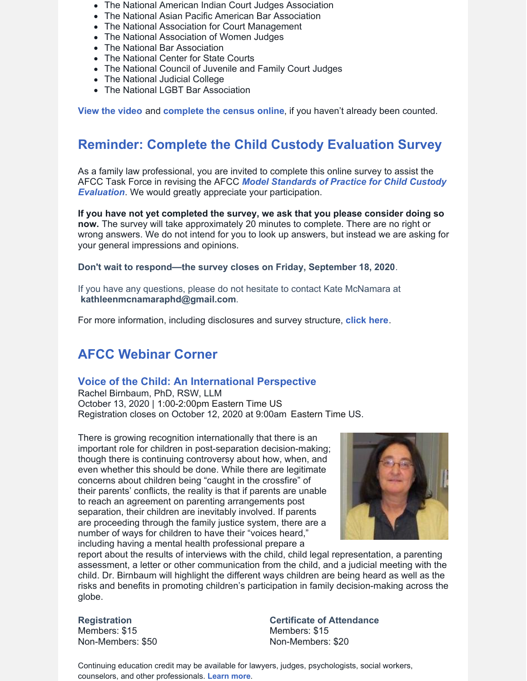- The National American Indian Court Judges Association
- The National Asian Pacific American Bar Association
- The National Association for Court Management
- The National Association of Women Judges
- The National Bar Association
- The National Center for State Courts
- The National Council of Juvenile and Family Court Judges
- The National Judicial College
- The National LGBT Bar Association

**View the [video](https://vimeo.com/449476666/f100a8c868)** and **[complete](https://2020census.gov/) the census online**, if you haven't already been counted.

## **Reminder: Complete the Child Custody Evaluation Survey**

As a family law professional, you are invited to complete this online survey to assist the AFCC Task Force in revising the AFCC *Model Standards of Practice for Child Custody Evaluation*. We would greatly appreciate your [participation.](https://www.afccnet.org/Portals/0/ModelStdsChildCustodyEvalSept2006.pdf)

**If you have not yet completed the survey, we ask that you please consider doing so now.** The survey will take approximately 20 minutes to complete. There are no right or wrong answers. We do not intend for you to look up answers, but instead we are asking for your general impressions and opinions.

#### **Don't wait to respond—the survey closes on Friday, September 18, 2020**.

If you have any questions, please do not hesitate to contact Kate McNamara at **[kathleenmcnamaraphd@gmail.com](mailto:kathleenmcnamaraphd@gmail.com)**.

For more information, including disclosures and survey structure, **[click](https://www.surveymonkey.com/r/9HHVXD3) here**.

## **AFCC Webinar Corner**

#### **Voice of the Child: An [International](https://www.afccnet.org/Conferences-Training/Webinars/ctl/ViewConference/ConferenceID/355/mid/772) Perspective**

Rachel Birnbaum, PhD, RSW, LLM October 13, 2020 | 1:00-2:00pm Eastern Time US Registration closes on October 12, 2020 at 9:00am Eastern Time US.

There is growing recognition internationally that there is an important role for children in post-separation decision-making; though there is continuing controversy about how, when, and even whether this should be done. While there are legitimate concerns about children being "caught in the crossfire" of their parents' conflicts, the reality is that if parents are unable to reach an agreement on parenting arrangements post separation, their children are inevitably involved. If parents are proceeding through the family justice system, there are a number of ways for children to have their "voices heard," including having a mental health professional prepare a



report about the results of interviews with the child, child legal representation, a parenting assessment, a letter or other communication from the child, and a judicial meeting with the child. Dr. Birnbaum will highlight the different ways children are being heard as well as the risks and benefits in promoting children's participation in family decision-making across the globe.

#### **Registration**

Members: \$15 Non-Members: \$50 **Certificate of Attendance** Members: \$15 Non-Members: \$20

Continuing education credit may be available for lawyers, judges, psychologists, social workers, counselors, and other professionals. **[Learn](https://www.afccnet.org/Conferences-Training/Webinars/ctl/ViewConference/ConferenceID/355/mid/772) more**.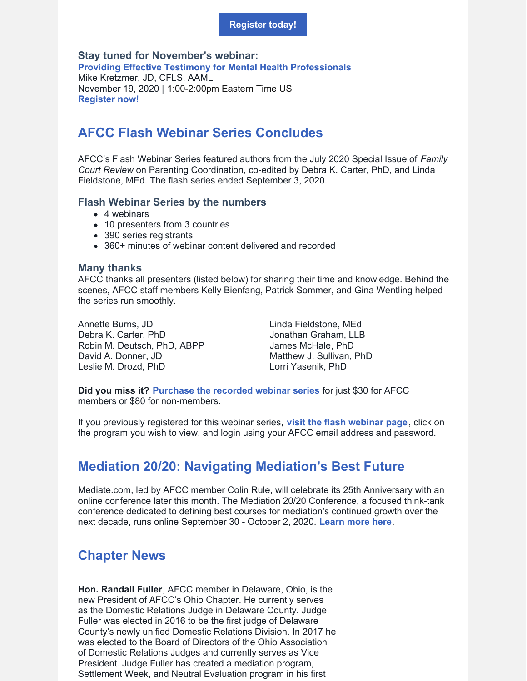#### **[Register](https://www.afccnet.org/Conferences-Training/Webinars/ctl/ViewConference/ConferenceID/355/mid/772) today!**

#### **Stay tuned for November's webinar:**

**Providing Effective Testimony for Mental Health [Professionals](https://www.afccnet.org/Conferences-Training/Webinars/ctl/ViewConference/ConferenceID/356/mid/772)** Mike Kretzmer, JD, CFLS, AAML November 19, 2020 | 1:00-2:00pm Eastern Time US **[Register](https://www.afccnet.org/Conferences-Training/Webinars/ctl/ViewConference/ConferenceID/356/mid/772) now!**

## **AFCC Flash Webinar Series Concludes**

AFCC's Flash Webinar Series featured authors from the July 2020 Special Issue of *Family Court Review* on Parenting Coordination, co-edited by Debra K. Carter, PhD, and Linda Fieldstone, MEd. The flash series ended September 3, 2020.

#### **Flash Webinar Series by the numbers**

- 4 webinars
- 10 presenters from 3 countries
- 390 series registrants
- 360+ minutes of webinar content delivered and recorded

#### **Many thanks**

AFCC thanks all presenters (listed below) for sharing their time and knowledge. Behind the scenes, AFCC staff members Kelly Bienfang, Patrick Sommer, and Gina Wentling helped the series run smoothly.

Annette Burns, JD Debra K. Carter, PhD Robin M. Deutsch, PhD, ABPP David A. Donner, JD Leslie M. Drozd, PhD

Linda Fieldstone, MEd Jonathan Graham, LLB James McHale, PhD Matthew J. Sullivan, PhD Lorri Yasenik, PhD

**Did you miss it? [Purchase](https://www.afccnet.org/Conferences-Training/AFCC-Webinars/Flash-Webinar-Series-on-Parenting-Coordination) the recorded webinar series** for just \$30 for AFCC members or \$80 for non-members.

If you previously registered for this webinar series, **visit the flash [webinar](https://www.afccnet.org/Conferences-Training/AFCC-Webinars/Flash-Webinar-Series-on-Parenting-Coordination) page**, click on the program you wish to view, and login using your AFCC email address and password.

## **Mediation 20/20: Navigating Mediation's Best Future**

Mediate.com, led by AFCC member Colin Rule, will celebrate its 25th Anniversary with an online conference later this month. The Mediation 20/20 Conference, a focused think-tank conference dedicated to defining best courses for mediation's continued growth over the next decade, runs online September 30 - October 2, 2020. **[Learn](https://www.mediate.com/mediation2020/) more here**.

## **Chapter News**

**Hon. Randall Fuller**, AFCC member in Delaware, Ohio, is the new President of AFCC's Ohio Chapter. He currently serves as the Domestic Relations Judge in Delaware County. Judge Fuller was elected in 2016 to be the first judge of Delaware County's newly unified Domestic Relations Division. In 2017 he was elected to the Board of Directors of the Ohio Association of Domestic Relations Judges and currently serves as Vice President. Judge Fuller has created a mediation program, Settlement Week, and Neutral Evaluation program in his first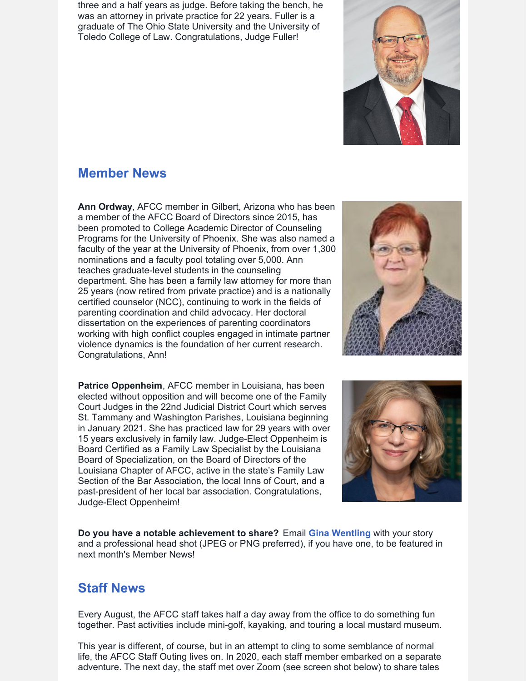three and a half years as judge. Before taking the bench, he was an attorney in private practice for 22 years. Fuller is a graduate of The Ohio State University and the University of Toledo College of Law. Congratulations, Judge Fuller!

## **Member News**

**Ann Ordway**, AFCC member in Gilbert, Arizona who has been a member of the AFCC Board of Directors since 2015, has been promoted to College Academic Director of Counseling Programs for the University of Phoenix. She was also named a faculty of the year at the University of Phoenix, from over 1,300 nominations and a faculty pool totaling over 5,000. Ann teaches graduate-level students in the counseling department. She has been a family law attorney for more than 25 years (now retired from private practice) and is a nationally certified counselor (NCC), continuing to work in the fields of parenting coordination and child advocacy. Her doctoral dissertation on the experiences of parenting coordinators working with high conflict couples engaged in intimate partner violence dynamics is the foundation of her current research. Congratulations, Ann!

**Patrice Oppenheim**, AFCC member in Louisiana, has been elected without opposition and will become one of the Family Court Judges in the 22nd Judicial District Court which serves St. Tammany and Washington Parishes, Louisiana beginning in January 2021. She has practiced law for 29 years with over 15 years exclusively in family law. Judge-Elect Oppenheim is Board Certified as a Family Law Specialist by the Louisiana Board of Specialization, on the Board of Directors of the Louisiana Chapter of AFCC, active in the state's Family Law Section of the Bar Association, the local Inns of Court, and a past-president of her local bar association. Congratulations, Judge-Elect Oppenheim!





**Do you have a notable achievement to share?** Email **Gina [Wentling](mailto:gwentling@afccnet.org)** with your story and a professional head shot (JPEG or PNG preferred), if you have one, to be featured in next month's Member News!

## **Staff News**

Every August, the AFCC staff takes half a day away from the office to do something fun together. Past activities include mini-golf, kayaking, and touring a local mustard museum.

This year is different, of course, but in an attempt to cling to some semblance of normal life, the AFCC Staff Outing lives on. In 2020, each staff member embarked on a separate adventure. The next day, the staff met over Zoom (see screen shot below) to share tales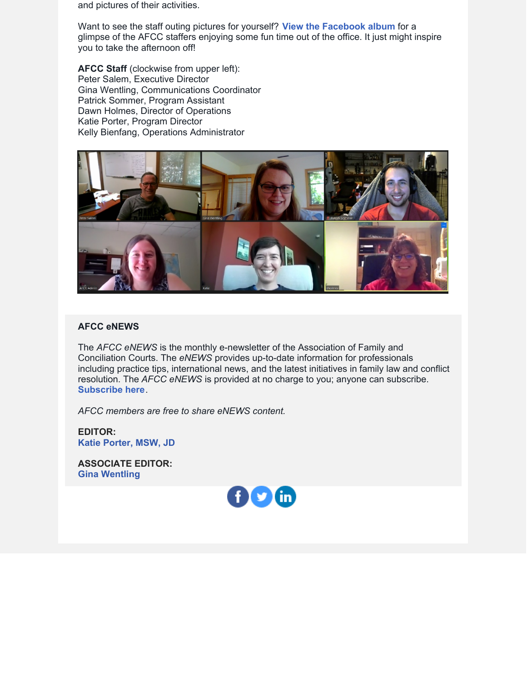and pictures of their activities.

Want to see the staff outing pictures for yourself? **View the [Facebook](https://www.facebook.com/FollowAFCC/photos/?tab=album&album_id=10158515795832086) album** for a glimpse of the AFCC staffers enjoying some fun time out of the office. It just might inspire you to take the afternoon off!

**AFCC Staff** (clockwise from upper left): Peter Salem, Executive Director Gina Wentling, Communications Coordinator Patrick Sommer, Program Assistant Dawn Holmes, Director of Operations Katie Porter, Program Director Kelly Bienfang, Operations Administrator



#### **AFCC eNEWS**

The *AFCC eNEWS* is the monthly e-newsletter of the Association of Family and Conciliation Courts. The *eNEWS* provides up-to-date information for professionals including practice tips, international news, and the latest initiatives in family law and conflict resolution. The *AFCC eNEWS* is provided at no charge to you; anyone can subscribe. **[Subscribe](http://www.afccnet.org/Resource-Center/AFCC-eNEWS) here**.

*AFCC members are free to share eNEWS content.*

**EDITOR: Katie [Porter,](mailto:kporter@afccnet.org) MSW, JD**

**ASSOCIATE EDITOR: Gina [Wentling](mailto:gwentling@afccnet.org)**

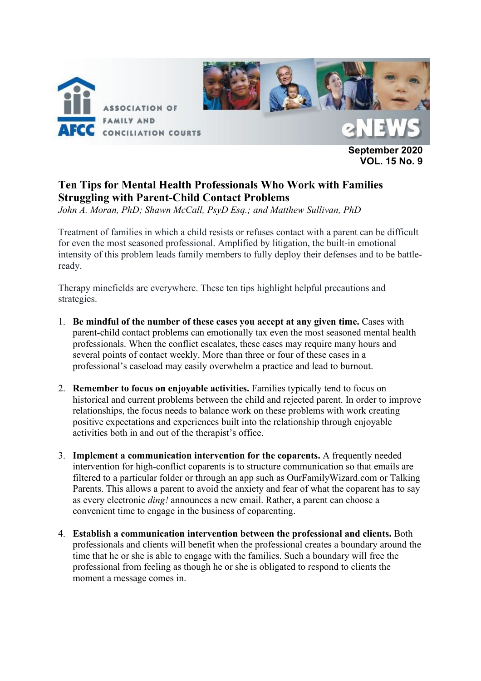

**September 2020 VOL. 15 No. 9**

## **Ten Tips for Mental Health Professionals Who Work with Families Struggling with Parent-Child Contact Problems**

*John A. Moran, PhD; Shawn McCall, PsyD Esq.; and Matthew Sullivan, PhD*

Treatment of families in which a child resists or refuses contact with a parent can be difficult for even the most seasoned professional. Amplified by litigation, the built-in emotional intensity of this problem leads family members to fully deploy their defenses and to be battleready.

Therapy minefields are everywhere. These ten tips highlight helpful precautions and strategies.

- 1. **Be mindful of the number of these cases you accept at any given time.** Cases with parent-child contact problems can emotionally tax even the most seasoned mental health professionals. When the conflict escalates, these cases may require many hours and several points of contact weekly. More than three or four of these cases in a professional's caseload may easily overwhelm a practice and lead to burnout.
- 2. **Remember to focus on enjoyable activities.** Families typically tend to focus on historical and current problems between the child and rejected parent. In order to improve relationships, the focus needs to balance work on these problems with work creating positive expectations and experiences built into the relationship through enjoyable activities both in and out of the therapist's office.
- 3. **Implement a communication intervention for the coparents.** A frequently needed intervention for high-conflict coparents is to structure communication so that emails are filtered to a particular folder or through an app such as OurFamilyWizard.com or Talking Parents. This allows a parent to avoid the anxiety and fear of what the coparent has to say as every electronic *ding!* announces a new email. Rather, a parent can choose a convenient time to engage in the business of coparenting.
- 4. **Establish a communication intervention between the professional and clients.** Both professionals and clients will benefit when the professional creates a boundary around the time that he or she is able to engage with the families. Such a boundary will free the professional from feeling as though he or she is obligated to respond to clients the moment a message comes in.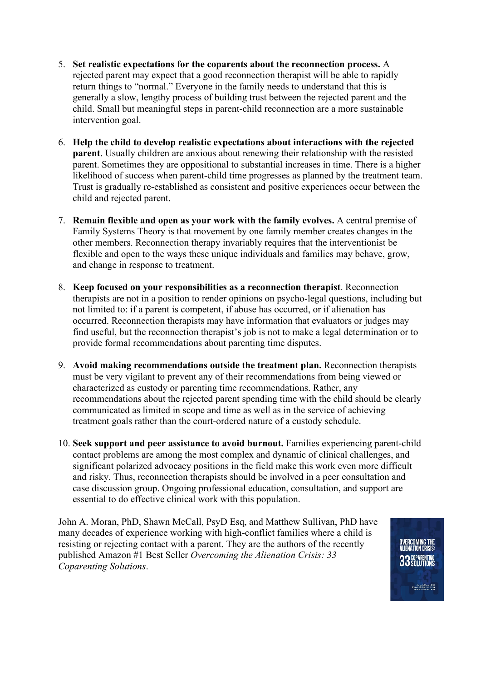- 5. **Set realistic expectations for the coparents about the reconnection process.** A rejected parent may expect that a good reconnection therapist will be able to rapidly return things to "normal." Everyone in the family needs to understand that this is generally a slow, lengthy process of building trust between the rejected parent and the child. Small but meaningful steps in parent-child reconnection are a more sustainable intervention goal.
- 6. **Help the child to develop realistic expectations about interactions with the rejected parent**. Usually children are anxious about renewing their relationship with the resisted parent. Sometimes they are oppositional to substantial increases in time. There is a higher likelihood of success when parent-child time progresses as planned by the treatment team. Trust is gradually re-established as consistent and positive experiences occur between the child and rejected parent.
- 7. **Remain flexible and open as your work with the family evolves.** A central premise of Family Systems Theory is that movement by one family member creates changes in the other members. Reconnection therapy invariably requires that the interventionist be flexible and open to the ways these unique individuals and families may behave, grow, and change in response to treatment.
- 8. **Keep focused on your responsibilities as a reconnection therapist**. Reconnection therapists are not in a position to render opinions on psycho-legal questions, including but not limited to: if a parent is competent, if abuse has occurred, or if alienation has occurred. Reconnection therapists may have information that evaluators or judges may find useful, but the reconnection therapist's job is not to make a legal determination or to provide formal recommendations about parenting time disputes.
- 9. **Avoid making recommendations outside the treatment plan.** Reconnection therapists must be very vigilant to prevent any of their recommendations from being viewed or characterized as custody or parenting time recommendations. Rather, any recommendations about the rejected parent spending time with the child should be clearly communicated as limited in scope and time as well as in the service of achieving treatment goals rather than the court-ordered nature of a custody schedule.
- 10. **Seek support and peer assistance to avoid burnout.** Families experiencing parent-child contact problems are among the most complex and dynamic of clinical challenges, and significant polarized advocacy positions in the field make this work even more difficult and risky. Thus, reconnection therapists should be involved in a peer consultation and case discussion group. Ongoing professional education, consultation, and support are essential to do effective clinical work with this population.

John A. Moran, PhD, Shawn McCall, PsyD Esq, and Matthew Sullivan, PhD have many decades of experience working with high-conflict families where a child is resisting or rejecting contact with a parent. They are the authors of the recently published Amazon #1 Best Seller *Overcoming the Alienation Crisis: 33 Coparenting Solutions*.